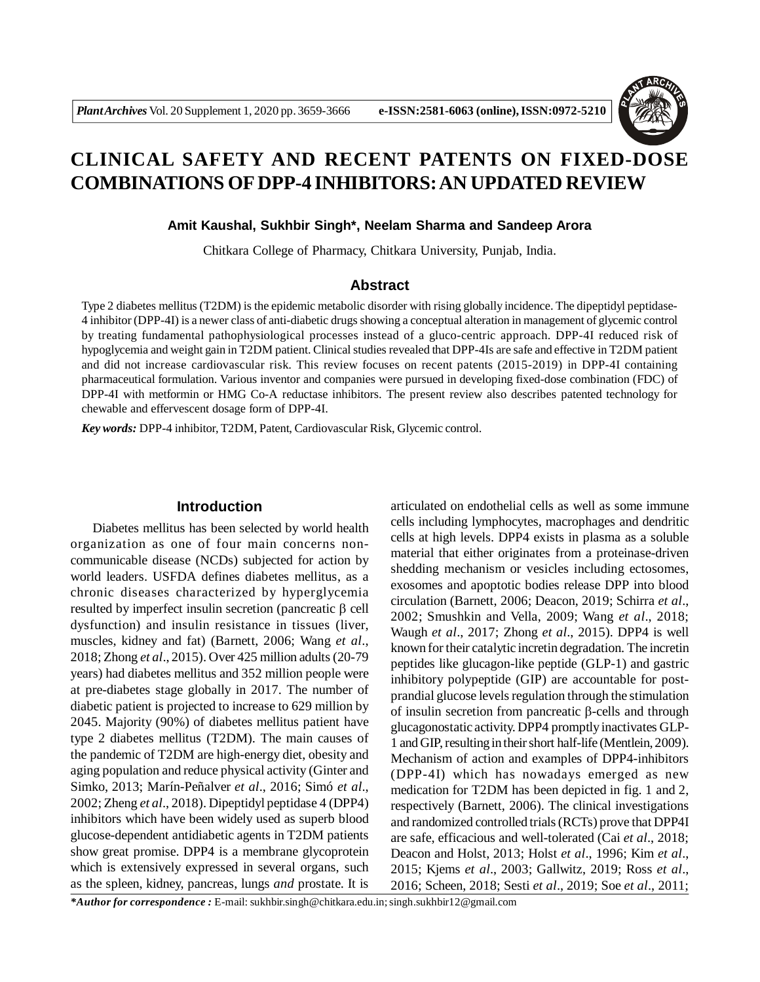

# **CLINICAL SAFETY AND RECENT PATENTS ON FIXED-DOSE COMBINATIONS OF DPP-4 INHIBITORS: AN UPDATED REVIEW**

#### **Amit Kaushal, Sukhbir Singh\*, Neelam Sharma and Sandeep Arora**

Chitkara College of Pharmacy, Chitkara University, Punjab, India.

# **Abstract**

Type 2 diabetes mellitus (T2DM) is the epidemic metabolic disorder with rising globally incidence. The dipeptidyl peptidase-4 inhibitor (DPP-4I) is a newer class of anti-diabetic drugs showing a conceptual alteration in management of glycemic control by treating fundamental pathophysiological processes instead of a gluco-centric approach. DPP-4I reduced risk of hypoglycemia and weight gain in T2DM patient. Clinical studies revealed that DPP-4Is are safe and effective in T2DM patient and did not increase cardiovascular risk. This review focuses on recent patents (2015-2019) in DPP-4I containing pharmaceutical formulation. Various inventor and companies were pursued in developing fixed-dose combination (FDC) of DPP-4I with metformin or HMG Co-A reductase inhibitors. The present review also describes patented technology for chewable and effervescent dosage form of DPP-4I.

*Key words:* DPP-4 inhibitor, T2DM, Patent, Cardiovascular Risk, Glycemic control.

#### **Introduction**

Diabetes mellitus has been selected by world health organization as one of four main concerns noncommunicable disease (NCDs) subjected for action by world leaders. USFDA defines diabetes mellitus, as a chronic diseases characterized by hyperglycemia resulted by imperfect insulin secretion (pancreatic  $\beta$  cell dysfunction) and insulin resistance in tissues (liver, muscles, kidney and fat) (Barnett, 2006; Wang *et al*., 2018; Zhong *et al*., 2015). Over 425 million adults(20-79 years) had diabetes mellitus and 352 million people were at pre-diabetes stage globally in 2017. The number of diabetic patient is projected to increase to 629 million by 2045. Majority (90%) of diabetes mellitus patient have type 2 diabetes mellitus (T2DM). The main causes of the pandemic of T2DM are high-energy diet, obesity and aging population and reduce physical activity (Ginter and Simko, 2013; Marín-Peñalver *et al*., 2016; Simó *et al*., 2002; Zheng *et al*., 2018). Dipeptidyl peptidase 4 (DPP4) inhibitors which have been widely used as superb blood glucose-dependent antidiabetic agents in T2DM patients show great promise. DPP4 is a membrane glycoprotein which is extensively expressed in several organs, such as the spleen, kidney, pancreas, lungs *and* prostate. It is

articulated on endothelial cells as well as some immune cells including lymphocytes, macrophages and dendritic cells at high levels. DPP4 exists in plasma as a soluble material that either originates from a proteinase-driven shedding mechanism or vesicles including ectosomes, exosomes and apoptotic bodies release DPP into blood circulation (Barnett, 2006; Deacon, 2019; Schirra *et al*., 2002; Smushkin and Vella, 2009; Wang *et al*., 2018; Waugh *et al*., 2017; Zhong *et al*., 2015). DPP4 is well known for their catalytic incretin degradation. The incretin peptides like glucagon-like peptide (GLP-1) and gastric inhibitory polypeptide (GIP) are accountable for postprandial glucose levels regulation through the stimulation of insulin secretion from pancreatic  $\beta$ -cells and through glucagonostatic activity. DPP4 promptly inactivates GLP-1 and GIP, resulting in their short half-life (Mentlein, 2009). Mechanism of action and examples of DPP4-inhibitors (DPP-4I) which has nowadays emerged as new medication for T2DM has been depicted in fig. 1 and 2, respectively (Barnett, 2006). The clinical investigations and randomized controlled trials (RCTs) prove that DPP4I are safe, efficacious and well-tolerated (Cai *et al*., 2018; Deacon and Holst, 2013; Holst *et al*., 1996; Kim *et al*., 2015; Kjems *et al*., 2003; Gallwitz, 2019; Ross *et al*., 2016; Scheen, 2018; Sesti *et al*., 2019; Soe *et al*., 2011;

*\*Author for correspondence :* E-mail: sukhbir.singh@chitkara.edu.in; singh.sukhbir12@gmail.com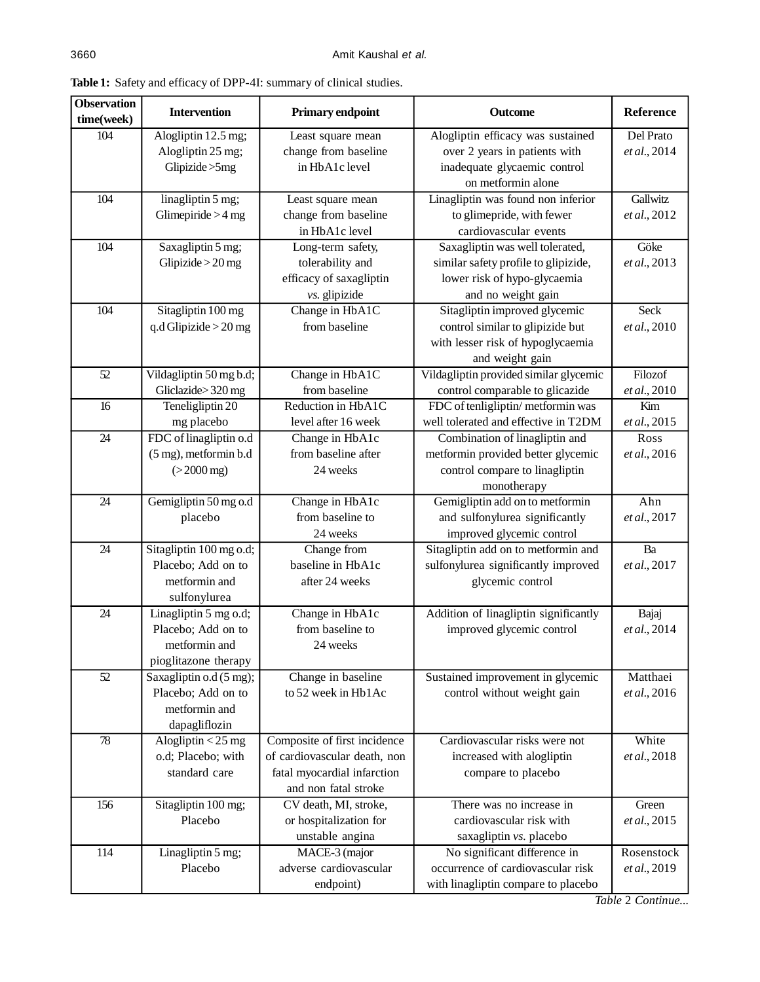| <b>Observation</b><br>time(week) | <b>Intervention</b>                           | Primary endpoint                 | <b>Outcome</b>                                                             | Reference    |
|----------------------------------|-----------------------------------------------|----------------------------------|----------------------------------------------------------------------------|--------------|
| 104                              | Alogliptin 12.5 mg;                           | Least square mean                | Alogliptin efficacy was sustained                                          | Del Prato    |
|                                  | Alogliptin 25 mg;                             | change from baseline             | over 2 years in patients with                                              | et al., 2014 |
|                                  | Glipizide > 5mg                               | in HbA1c level                   | inadequate glycaemic control                                               |              |
|                                  |                                               |                                  | on metformin alone                                                         |              |
| 104                              | linagliptin 5 mg;                             | Least square mean                | Linagliptin was found non inferior                                         | Gallwitz     |
|                                  | Glimepiride $>4$ mg                           | change from baseline             | to glimepride, with fewer                                                  | et al., 2012 |
|                                  |                                               | in HbA1c level                   | cardiovascular events                                                      |              |
| 104                              | Saxagliptin 5 mg;                             | Long-term safety,                | Saxagliptin was well tolerated,                                            | Göke         |
|                                  | Glipizide $>20$ mg                            | tolerability and                 | similar safety profile to glipizide,                                       | et al., 2013 |
|                                  |                                               | efficacy of saxagliptin          | lower risk of hypo-glycaemia                                               |              |
|                                  |                                               | vs. glipizide                    | and no weight gain                                                         |              |
| 104                              | Sitagliptin 100 mg                            | Change in HbA1C                  | Sitagliptin improved glycemic                                              | <b>Seck</b>  |
|                                  | q.d Glipizide $>$ 20 mg                       | from baseline                    | control similar to glipizide but                                           | et al., 2010 |
|                                  |                                               |                                  | with lesser risk of hypoglycaemia                                          |              |
|                                  |                                               |                                  | and weight gain                                                            |              |
| 52                               | Vildagliptin 50 mg b.d;                       | Change in HbA1C                  | Vildagliptin provided similar glycemic                                     | Filozof      |
|                                  | Gliclazide>320 mg                             | from baseline                    | control comparable to glicazide                                            | et al., 2010 |
| 16                               | Teneligliptin 20                              | Reduction in HbA1C               | FDC of tenligliptin/metformin was                                          | Kim          |
|                                  | mg placebo                                    | level after 16 week              | well tolerated and effective in T2DM                                       | et al., 2015 |
| 24                               | FDC of linagliptin o.d                        | Change in HbA1c                  | Combination of linagliptin and                                             | Ross         |
|                                  | (5 mg), metformin b.d                         | from baseline after              | metformin provided better glycemic                                         | et al., 2016 |
|                                  | $( > 2000 \text{ mg})$                        | 24 weeks                         | control compare to linagliptin                                             |              |
|                                  |                                               |                                  | monotherapy                                                                |              |
| 24                               | Gemigliptin 50 mg o.d                         | Change in HbA1c                  | Gemigliptin add on to metformin                                            | Ahn          |
|                                  | placebo                                       | from baseline to                 | and sulfonylurea significantly                                             | et al., 2017 |
| $\overline{24}$                  |                                               | 24 weeks                         | improved glycemic control                                                  | Ba           |
|                                  | Sitagliptin 100 mg o.d;<br>Placebo; Add on to | Change from<br>baseline in HbA1c | Sitagliptin add on to metformin and<br>sulfonylurea significantly improved | et al., 2017 |
|                                  | metformin and                                 | after 24 weeks                   | glycemic control                                                           |              |
|                                  | sulfonylurea                                  |                                  |                                                                            |              |
| 24                               | Linagliptin 5 mg o.d;                         | Change in HbA1c                  | Addition of linagliptin significantly                                      | Bajaj        |
|                                  | Placebo; Add on to                            | from baseline to                 | improved glycemic control                                                  | et al., 2014 |
|                                  | metformin and                                 | 24 weeks                         |                                                                            |              |
|                                  | pioglitazone therapy                          |                                  |                                                                            |              |
| 52                               | Saxagliptin o.d (5 mg);                       | Change in baseline               | Sustained improvement in glycemic                                          | Matthaei     |
|                                  | Placebo; Add on to                            | to 52 week in Hb1Ac              | control without weight gain                                                | et al., 2016 |
|                                  | metformin and                                 |                                  |                                                                            |              |
|                                  | dapagliflozin                                 |                                  |                                                                            |              |
| $78\,$                           | Alogliptin $<$ 25 mg                          | Composite of first incidence     | Cardiovascular risks were not                                              | White        |
|                                  | o.d; Placebo; with                            | of cardiovascular death, non     | increased with alogliptin                                                  | et al., 2018 |
|                                  | standard care                                 | fatal myocardial infarction      | compare to placebo                                                         |              |
|                                  |                                               | and non fatal stroke             |                                                                            |              |
| 156                              | Sitagliptin 100 mg;                           | CV death, MI, stroke,            | There was no increase in                                                   | Green        |
|                                  | Placebo                                       | or hospitalization for           | cardiovascular risk with                                                   | et al., 2015 |
|                                  |                                               | unstable angina                  | saxagliptin vs. placebo                                                    |              |
| 114                              | Linagliptin 5 mg;                             | MACE-3 (major                    | No significant difference in                                               | Rosenstock   |
|                                  | Placebo                                       | adverse cardiovascular           | occurrence of cardiovascular risk                                          | et al., 2019 |
|                                  |                                               | endpoint)                        | with linagliptin compare to placebo                                        |              |

**Table 1:** Safety and efficacy of DPP-4I: summary of clinical studies.

*Table* 2 *Continue...*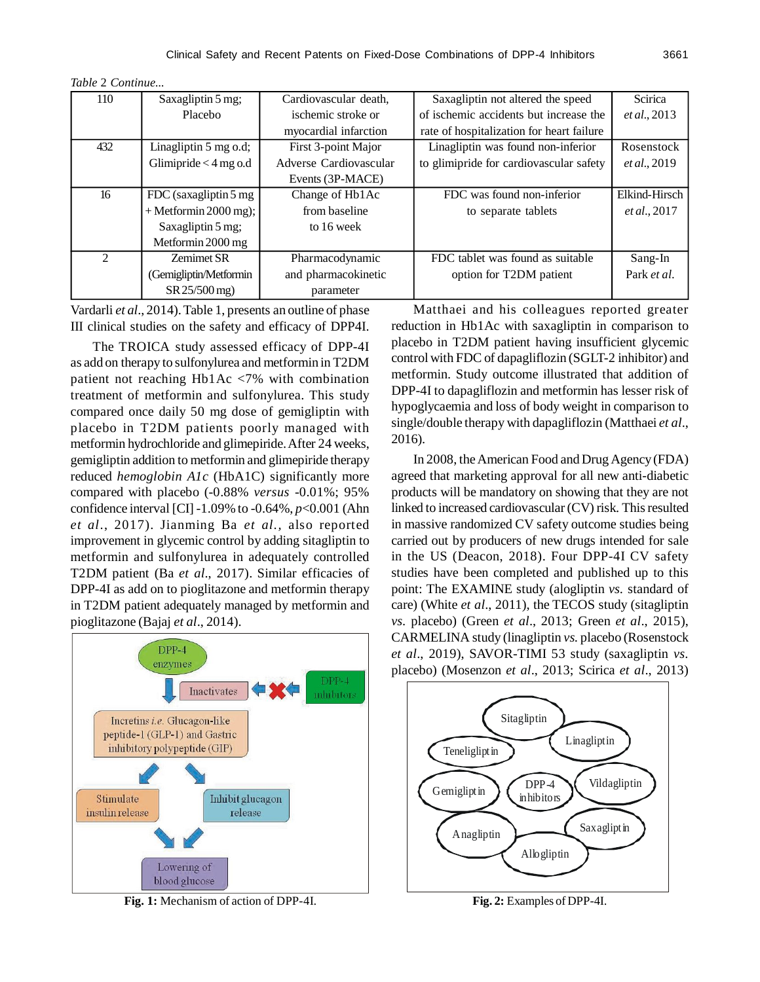| Table 2 Continue |  |
|------------------|--|
|------------------|--|

| 110            | Saxagliptin 5 mg;       | Cardiovascular death.  | Saxagliptin not altered the speed         | <b>Scirica</b> |
|----------------|-------------------------|------------------------|-------------------------------------------|----------------|
|                | Placebo                 | ischemic stroke or     | of ischemic accidents but increase the    | et al., 2013   |
|                |                         | myocardial infarction  | rate of hospitalization for heart failure |                |
| 432            | Linagliptin 5 mg o.d;   | First 3-point Major    | Linagliptin was found non-inferior        | Rosenstock     |
|                | Glimipride $<$ 4 mg o.d | Adverse Cardiovascular | to glimipride for cardiovascular safety   | et al., 2019   |
|                |                         | Events (3P-MACE)       |                                           |                |
| 16             | FDC (saxagliptin 5 mg   | Change of Hb1Ac        | FDC was found non-inferior                | Elkind-Hirsch  |
|                | $+$ Metformin 2000 mg); | from baseline          | to separate tablets                       | et al., 2017   |
|                | Saxagliptin 5 mg;       | to 16 week             |                                           |                |
|                | Metformin 2000 mg       |                        |                                           |                |
| $\mathfrak{D}$ | <b>Zemimet SR</b>       | Pharmacodynamic        | FDC tablet was found as suitable          | Sang-In        |
|                | (Gemigliptin/Metformin  | and pharmacokinetic    | option for T2DM patient                   | Park et al.    |
|                | SR 25/500 mg)           | parameter              |                                           |                |

Vardarli *et al*., 2014). Table 1, presents an outline of phase III clinical studies on the safety and efficacy of DPP4I.

The TROICA study assessed efficacy of DPP-4I as add on therapy to sulfonylurea and metformin in T2DM patient not reaching Hb1Ac <7% with combination treatment of metformin and sulfonylurea. This study compared once daily 50 mg dose of gemigliptin with placebo in T2DM patients poorly managed with metformin hydrochloride and glimepiride. After 24 weeks, gemigliptin addition to metformin and glimepiride therapy reduced *hemoglobin A1c* (HbA1C) significantly more compared with placebo (-0.88% *versus* -0.01%; 95% confidence interval [CI] -1.09% to -0.64%, *p*<0.001 (Ahn *et al*., 2017). Jianming Ba *et al.,* also reported improvement in glycemic control by adding sitagliptin to metformin and sulfonylurea in adequately controlled T2DM patient (Ba *et al*., 2017). Similar efficacies of DPP-4I as add on to pioglitazone and metformin therapy in T2DM patient adequately managed by metformin and pioglitazone (Bajaj *et al*., 2014).

DPP-4 enzymes  $DPP-4$ Inactivates **inhibitoi** Incretins *i.e.* Glucagon-like peptide-1 (GLP-1) and Gastric inhibitory polypeptide (GIP) Stimulate Inhibit glucagon insulin release release Lowering of blood glucose

**Fig. 1:** Mechanism of action of DPP-4I. **Fig. 2:** Examples of DPP-4I.

Matthaei and his colleagues reported greater reduction in Hb1Ac with saxagliptin in comparison to placebo in T2DM patient having insufficient glycemic control with FDC of dapagliflozin (SGLT-2 inhibitor) and metformin. Study outcome illustrated that addition of DPP-4I to dapagliflozin and metformin has lesser risk of hypoglycaemia and loss of body weight in comparison to single/double therapy with dapagliflozin (Matthaei *et al*., 2016).

In 2008, the American Food and Drug Agency (FDA) agreed that marketing approval for all new anti-diabetic products will be mandatory on showing that they are not linked to increased cardiovascular (CV) risk. This resulted in massive randomized CV safety outcome studies being carried out by producers of new drugs intended for sale in the US (Deacon, 2018). Four DPP-4I CV safety studies have been completed and published up to this point: The EXAMINE study (alogliptin *vs.* standard of care) (White *et al*., 2011), the TECOS study (sitagliptin *vs.* placebo) (Green *et al*., 2013; Green *et al*., 2015), CARMELINA study (linagliptin *vs.* placebo (Rosenstock *et al*., 2019), SAVOR-TIMI 53 study (saxagliptin *vs.* placebo) (Mosenzon *et al*., 2013; Scirica *et al*., 2013)

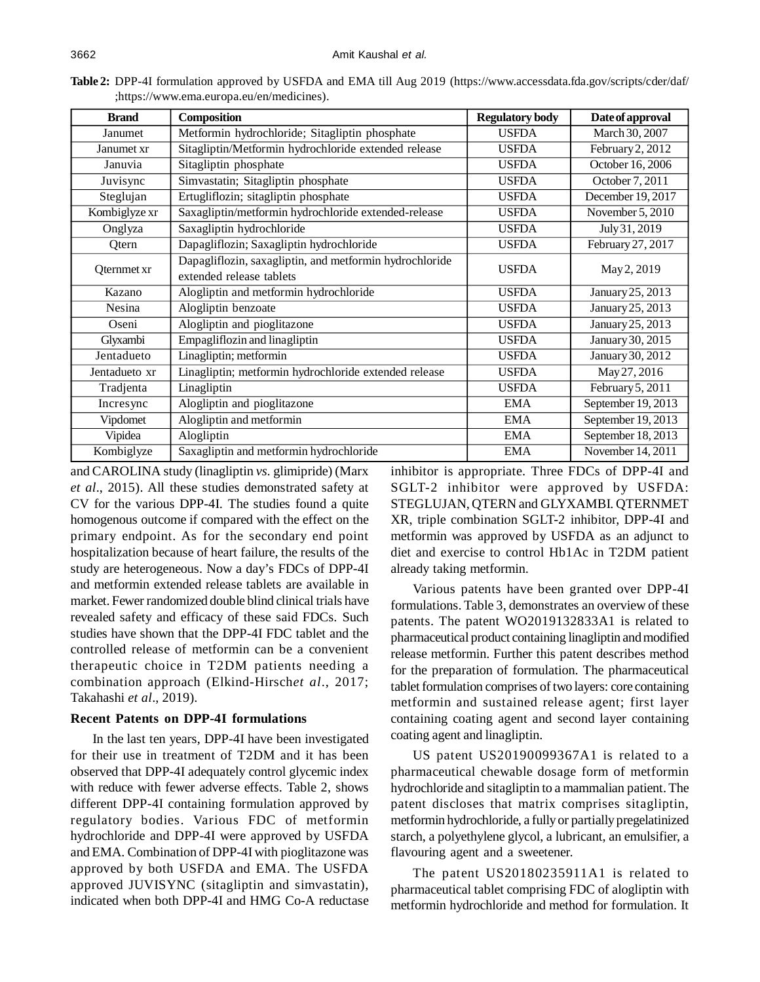| <b>Brand</b>  | Composition                                             | <b>Regulatory body</b> | Date of approval   |  |
|---------------|---------------------------------------------------------|------------------------|--------------------|--|
| Janumet       | Metformin hydrochloride; Sitagliptin phosphate          | <b>USFDA</b>           | March 30, 2007     |  |
| Janumet xr    | Sitagliptin/Metformin hydrochloride extended release    | <b>USFDA</b>           | February 2, 2012   |  |
| Januvia       | Sitagliptin phosphate                                   | <b>USFDA</b>           | October 16, 2006   |  |
| Juvisync      | Simvastatin; Sitagliptin phosphate                      | <b>USFDA</b>           | October 7, 2011    |  |
| Steglujan     | Ertugliflozin; sitagliptin phosphate                    | <b>USFDA</b>           | December 19, 2017  |  |
| Kombiglyze xr | Saxagliptin/metformin hydrochloride extended-release    | <b>USFDA</b>           | November 5, 2010   |  |
| Onglyza       | Saxagliptin hydrochloride                               | <b>USFDA</b>           | July 31, 2019      |  |
| Qtern         | Dapagliflozin; Saxagliptin hydrochloride                | <b>USFDA</b>           | February 27, 2017  |  |
|               | Dapagliflozin, saxagliptin, and metformin hydrochloride | <b>USFDA</b>           |                    |  |
| Qternmet xr   | extended release tablets                                |                        | May 2, 2019        |  |
| Kazano        | Alogliptin and metformin hydrochloride                  | <b>USFDA</b>           | January 25, 2013   |  |
| Nesina        | Alogliptin benzoate                                     | <b>USFDA</b>           | January 25, 2013   |  |
| Oseni         | Alogliptin and pioglitazone                             | <b>USFDA</b>           | January 25, 2013   |  |
| Glyxambi      | Empagliflozin and linagliptin                           | <b>USFDA</b>           | January 30, 2015   |  |
| Jentadueto    | Linagliptin; metformin                                  | <b>USFDA</b>           | January 30, 2012   |  |
| Jentadueto xr | Linagliptin; metformin hydrochloride extended release   | <b>USFDA</b>           | May 27, 2016       |  |
| Tradjenta     | Linagliptin                                             | <b>USFDA</b>           | February 5, 2011   |  |
| Incresync     | Alogliptin and pioglitazone                             | <b>EMA</b>             | September 19, 2013 |  |
| Vipdomet      | Alogliptin and metformin                                | <b>EMA</b>             | September 19, 2013 |  |
| Vipidea       | Alogliptin                                              | <b>EMA</b>             | September 18, 2013 |  |
| Kombiglyze    | Saxagliptin and metformin hydrochloride                 | <b>EMA</b>             | November 14, 2011  |  |

**Table 2:** DPP-4I formulation approved by USFDA and EMA till Aug 2019 (https://www.accessdata.fda.gov/scripts/cder/daf/ ;https://www.ema.europa.eu/en/medicines).

and CAROLINA study (linagliptin *vs.* glimipride) (Marx *et al*., 2015). All these studies demonstrated safety at CV for the various DPP-4I. The studies found a quite homogenous outcome if compared with the effect on the primary endpoint. As for the secondary end point hospitalization because of heart failure, the results of the study are heterogeneous. Now a day's FDCs of DPP-4I and metformin extended release tablets are available in market. Fewer randomized double blind clinical trials have revealed safety and efficacy of these said FDCs. Such studies have shown that the DPP-4I FDC tablet and the controlled release of metformin can be a convenient therapeutic choice in T2DM patients needing a combination approach (Elkind-Hirsch*et al*., 2017; Takahashi *et al*., 2019).

#### **Recent Patents on DPP-4I formulations**

In the last ten years, DPP-4I have been investigated for their use in treatment of T2DM and it has been observed that DPP-4I adequately control glycemic index with reduce with fewer adverse effects. Table 2, shows different DPP-4I containing formulation approved by regulatory bodies. Various FDC of metformin hydrochloride and DPP-4I were approved by USFDA and EMA. Combination of DPP-4I with pioglitazone was approved by both USFDA and EMA. The USFDA approved JUVISYNC (sitagliptin and simvastatin), indicated when both DPP-4I and HMG Co-A reductase inhibitor is appropriate. Three FDCs of DPP-4I and SGLT-2 inhibitor were approved by USFDA: STEGLUJAN, QTERN and GLYXAMBI. QTERNMET XR, triple combination SGLT-2 inhibitor, DPP-4I and metformin was approved by USFDA as an adjunct to diet and exercise to control Hb1Ac in T2DM patient already taking metformin.

Various patents have been granted over DPP-4I formulations. Table 3, demonstrates an overview of these patents. The patent WO2019132833A1 is related to pharmaceutical product containing linagliptin and modified release metformin. Further this patent describes method for the preparation of formulation. The pharmaceutical tablet formulation comprises of two layers: core containing metformin and sustained release agent; first layer containing coating agent and second layer containing coating agent and linagliptin.

US patent US20190099367A1 is related to a pharmaceutical chewable dosage form of metformin hydrochloride and sitagliptin to a mammalian patient. The patent discloses that matrix comprises sitagliptin, metformin hydrochloride, a fully or partially pregelatinized starch, a polyethylene glycol, a lubricant, an emulsifier, a flavouring agent and a sweetener.

The patent US20180235911A1 is related to pharmaceutical tablet comprising FDC of alogliptin with metformin hydrochloride and method for formulation. It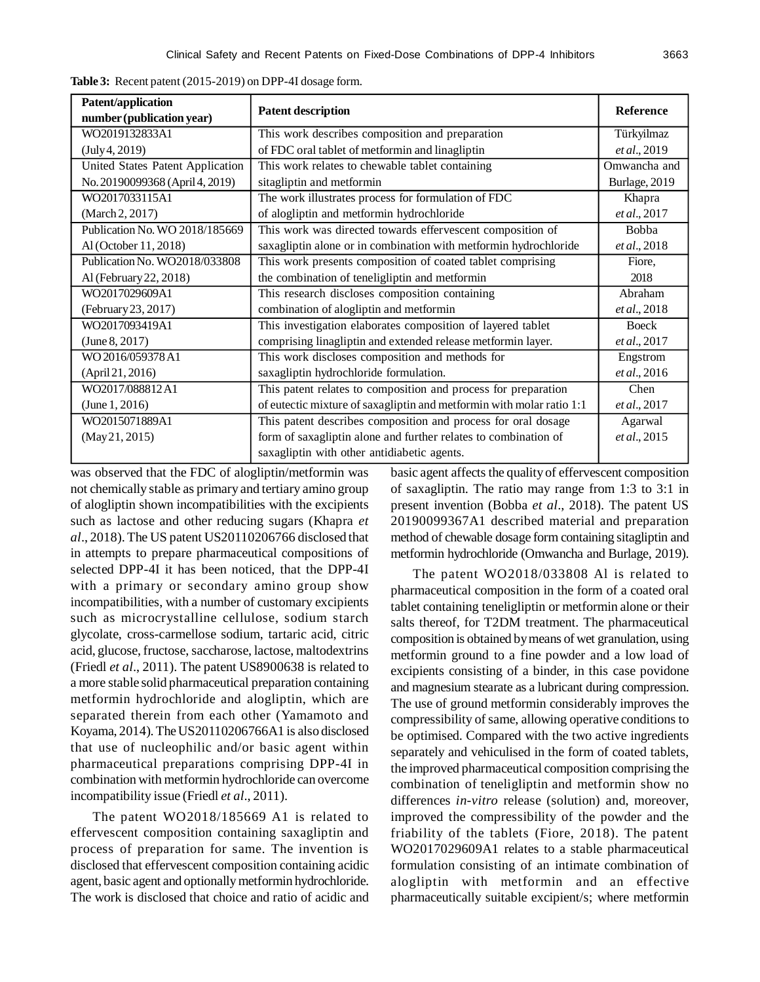| Patent/application<br>number (publication year) | <b>Patent description</b>                                             | <b>Reference</b> |
|-------------------------------------------------|-----------------------------------------------------------------------|------------------|
| WO2019132833A1                                  | This work describes composition and preparation                       | Türkyilmaz       |
| (July 4, 2019)                                  | of FDC oral tablet of metformin and linagliptin                       | et al., 2019     |
| United States Patent Application                | This work relates to chewable tablet containing                       | Omwancha and     |
| No. 20190099368 (April 4, 2019)                 | sitagliptin and metformin                                             | Burlage, 2019    |
| WO2017033115A1                                  | The work illustrates process for formulation of FDC                   | Khapra           |
| (March 2, 2017)                                 | of alogliptin and metformin hydrochloride                             | et al., 2017     |
| Publication No. WO 2018/185669                  | This work was directed towards effervescent composition of            | Bobba            |
| Al (October 11, 2018)                           | saxagliptin alone or in combination with metformin hydrochloride      | et al., 2018     |
| Publication No. WO2018/033808                   | This work presents composition of coated tablet comprising            | Fiore,           |
| Al (February 22, 2018)                          | the combination of teneligliptin and metformin                        | 2018             |
| WO2017029609A1                                  | This research discloses composition containing                        | Abraham          |
| (February 23, 2017)                             | combination of alogliptin and metformin                               | et al., 2018     |
| WO2017093419A1                                  | This investigation elaborates composition of layered tablet           | Boeck            |
| (June 8, 2017)                                  | comprising linagliptin and extended release metformin layer.          | et al., 2017     |
| WO 2016/059378 A1                               | This work discloses composition and methods for                       | Engstrom         |
| (April 21, 2016)                                | saxagliptin hydrochloride formulation.                                | et al., 2016     |
| WO2017/088812A1                                 | This patent relates to composition and process for preparation        | Chen             |
| (June 1, 2016)                                  | of eutectic mixture of saxagliptin and metformin with molar ratio 1:1 | et al., 2017     |
| WO2015071889A1                                  | This patent describes composition and process for oral dosage         | Agarwal          |
| (May21, 2015)                                   | form of saxagliptin alone and further relates to combination of       | et al., 2015     |
|                                                 | saxagliptin with other antidiabetic agents.                           |                  |

**Table 3:** Recent patent (2015-2019) on DPP-4I dosage form.

was observed that the FDC of alogliptin/metformin was not chemically stable as primary and tertiary amino group of alogliptin shown incompatibilities with the excipients such as lactose and other reducing sugars (Khapra *et al*., 2018). The US patent US20110206766 disclosed that in attempts to prepare pharmaceutical compositions of selected DPP-4I it has been noticed, that the DPP-4I with a primary or secondary amino group show incompatibilities, with a number of customary excipients such as microcrystalline cellulose, sodium starch glycolate, cross-carmellose sodium, tartaric acid, citric acid, glucose, fructose, saccharose, lactose, maltodextrins (Friedl *et al*., 2011). The patent US8900638 is related to a more stable solid pharmaceutical preparation containing metformin hydrochloride and alogliptin, which are separated therein from each other (Yamamoto and Koyama, 2014). The US20110206766A1 is also disclosed that use of nucleophilic and/or basic agent within pharmaceutical preparations comprising DPP-4I in combination with metformin hydrochloride can overcome incompatibility issue (Friedl *et al*., 2011).

The patent WO2018/185669 A1 is related to effervescent composition containing saxagliptin and process of preparation for same. The invention is disclosed that effervescent composition containing acidic agent, basic agent and optionally metformin hydrochloride. The work is disclosed that choice and ratio of acidic and basic agent affects the quality of effervescent composition of saxagliptin. The ratio may range from 1:3 to 3:1 in present invention (Bobba *et al*., 2018). The patent US 20190099367A1 described material and preparation method of chewable dosage form containing sitagliptin and metformin hydrochloride (Omwancha and Burlage, 2019).

The patent WO2018/033808 Al is related to pharmaceutical composition in the form of a coated oral tablet containing teneligliptin or metformin alone or their salts thereof, for T2DM treatment. The pharmaceutical composition is obtained by means of wet granulation, using metformin ground to a fine powder and a low load of excipients consisting of a binder, in this case povidone and magnesium stearate as a lubricant during compression. The use of ground metformin considerably improves the compressibility of same, allowing operative conditions to be optimised. Compared with the two active ingredients separately and vehiculised in the form of coated tablets, the improved pharmaceutical composition comprising the combination of teneligliptin and metformin show no differences *in-vitro* release (solution) and, moreover, improved the compressibility of the powder and the friability of the tablets (Fiore, 2018). The patent WO2017029609A1 relates to a stable pharmaceutical formulation consisting of an intimate combination of alogliptin with metformin and an effective pharmaceutically suitable excipient/s; where metformin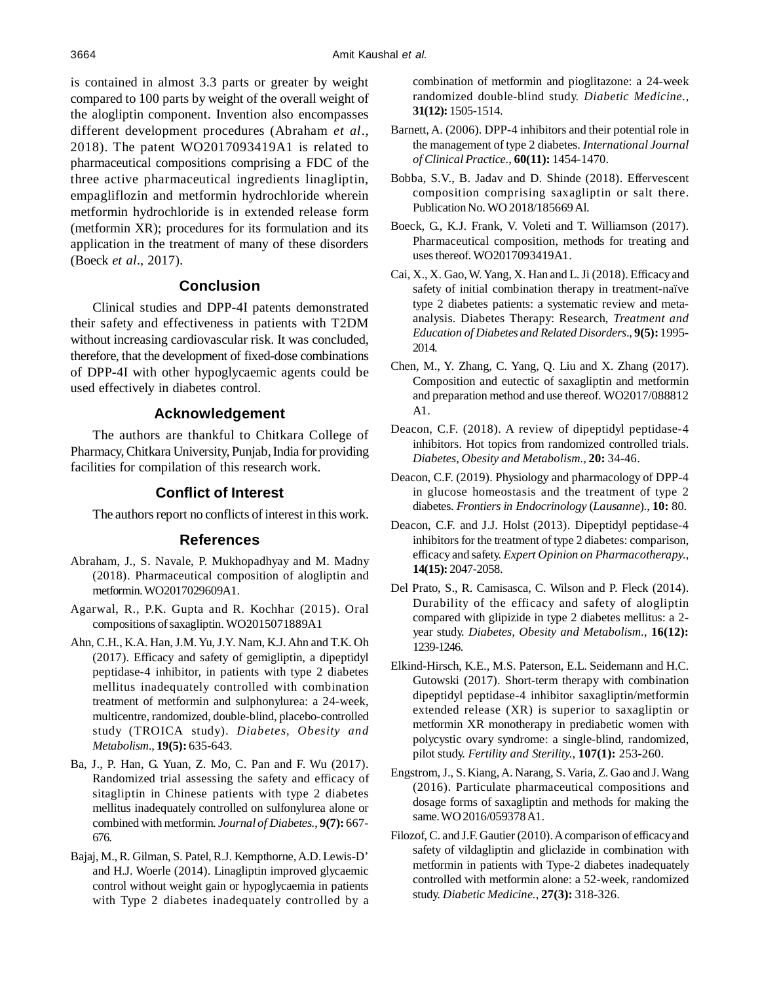is contained in almost 3.3 parts or greater by weight compared to 100 parts by weight of the overall weight of the alogliptin component. Invention also encompasses different development procedures (Abraham *et al*., 2018). The patent WO2017093419A1 is related to pharmaceutical compositions comprising a FDC of the three active pharmaceutical ingredients linagliptin, empagliflozin and metformin hydrochloride wherein metformin hydrochloride is in extended release form (metformin XR); procedures for its formulation and its application in the treatment of many of these disorders (Boeck *et al*., 2017).

# **Conclusion**

Clinical studies and DPP-4I patents demonstrated their safety and effectiveness in patients with T2DM without increasing cardiovascular risk. It was concluded, therefore, that the development of fixed-dose combinations of DPP-4I with other hypoglycaemic agents could be used effectively in diabetes control.

## **Acknowledgement**

The authors are thankful to Chitkara College of Pharmacy, Chitkara University, Punjab, India for providing facilities for compilation of this research work.

## **Conflict of Interest**

The authors report no conflicts of interest in this work.

#### **References**

- Abraham, J., S. Navale, P. Mukhopadhyay and M. Madny (2018). Pharmaceutical composition of alogliptin and metformin. WO2017029609A1.
- Agarwal, R., P.K. Gupta and R. Kochhar (2015). Oral compositions ofsaxagliptin. WO2015071889A1
- Ahn, C.H., K.A. Han, J.M. Yu, J.Y. Nam, K.J. Ahn and T.K. Oh (2017). Efficacy and safety of gemigliptin, a dipeptidyl peptidase-4 inhibitor, in patients with type 2 diabetes mellitus inadequately controlled with combination treatment of metformin and sulphonylurea: a 24-week, multicentre, randomized, double-blind, placebo-controlled study (TROICA study). *Diabetes, Obesity and Metabolism.*, **19(5):** 635-643.
- Ba, J., P. Han, G. Yuan, Z. Mo, C. Pan and F. Wu (2017). Randomized trial assessing the safety and efficacy of sitagliptin in Chinese patients with type 2 diabetes mellitus inadequately controlled on sulfonylurea alone or combined with metformin. *Journal of Diabetes.*, **9(7):** 667- 676.
- Bajaj, M., R. Gilman, S. Patel, R.J. Kempthorne, A.D. Lewis-D' and H.J. Woerle (2014). Linagliptin improved glycaemic control without weight gain or hypoglycaemia in patients with Type 2 diabetes inadequately controlled by a

combination of metformin and pioglitazone: a 24-week randomized double-blind study. *Diabetic Medicine.*, **31(12):** 1505-1514.

- Barnett, A. (2006). DPP-4 inhibitors and their potential role in the management of type 2 diabetes. *International Journal of Clinical Practice.*, **60(11):** 1454-1470.
- Bobba, S.V., B. Jadav and D. Shinde (2018). Effervescent composition comprising saxagliptin or salt there. Publication No. WO 2018/185669 Al.
- Boeck, G., K.J. Frank, V. Voleti and T. Williamson (2017). Pharmaceutical composition, methods for treating and usesthereof. WO2017093419A1.
- Cai, X., X. Gao, W. Yang, X. Han and L. Ji (2018). Efficacy and safety of initial combination therapy in treatment-naïve type 2 diabetes patients: a systematic review and metaanalysis. Diabetes Therapy: Research, *Treatment and Education of Diabetes and Related Disorders.*, **9(5):** 1995- 2014.
- Chen, M., Y. Zhang, C. Yang, Q. Liu and X. Zhang (2017). Composition and eutectic of saxagliptin and metformin and preparation method and use thereof. WO2017/088812 A1.
- Deacon, C.F. (2018). A review of dipeptidyl peptidase-4 inhibitors. Hot topics from randomized controlled trials. *Diabetes, Obesity and Metabolism.,* **20:** 34-46.
- Deacon, C.F. (2019). Physiology and pharmacology of DPP-4 in glucose homeostasis and the treatment of type 2 diabetes. *Frontiers in Endocrinology* (*Lausanne*)., **10:** 80.
- Deacon, C.F. and J.J. Holst (2013). Dipeptidyl peptidase-4 inhibitors for the treatment of type 2 diabetes: comparison, efficacy and safety. *Expert Opinion on Pharmacotherapy.*, **14(15):** 2047-2058.
- Del Prato, S., R. Camisasca, C. Wilson and P. Fleck (2014). Durability of the efficacy and safety of alogliptin compared with glipizide in type 2 diabetes mellitus: a 2 year study. *Diabetes, Obesity and Metabolism.*, **16(12):** 1239-1246.
- Elkind-Hirsch, K.E., M.S. Paterson, E.L. Seidemann and H.C. Gutowski (2017). Short-term therapy with combination dipeptidyl peptidase-4 inhibitor saxagliptin/metformin extended release (XR) is superior to saxagliptin or metformin XR monotherapy in prediabetic women with polycystic ovary syndrome: a single-blind, randomized, pilot study. *Fertility and Sterility.*, **107(1):** 253-260.
- Engstrom, J., S. Kiang, A. Narang, S. Varia, Z. Gao and J. Wang (2016). Particulate pharmaceutical compositions and dosage forms of saxagliptin and methods for making the same. WO 2016/059378 A1.
- Filozof, C. and J.F. Gautier (2010). A comparison of efficacyand safety of vildagliptin and gliclazide in combination with metformin in patients with Type-2 diabetes inadequately controlled with metformin alone: a 52-week, randomized study. *Diabetic Medicine.,* **27(3):** 318-326.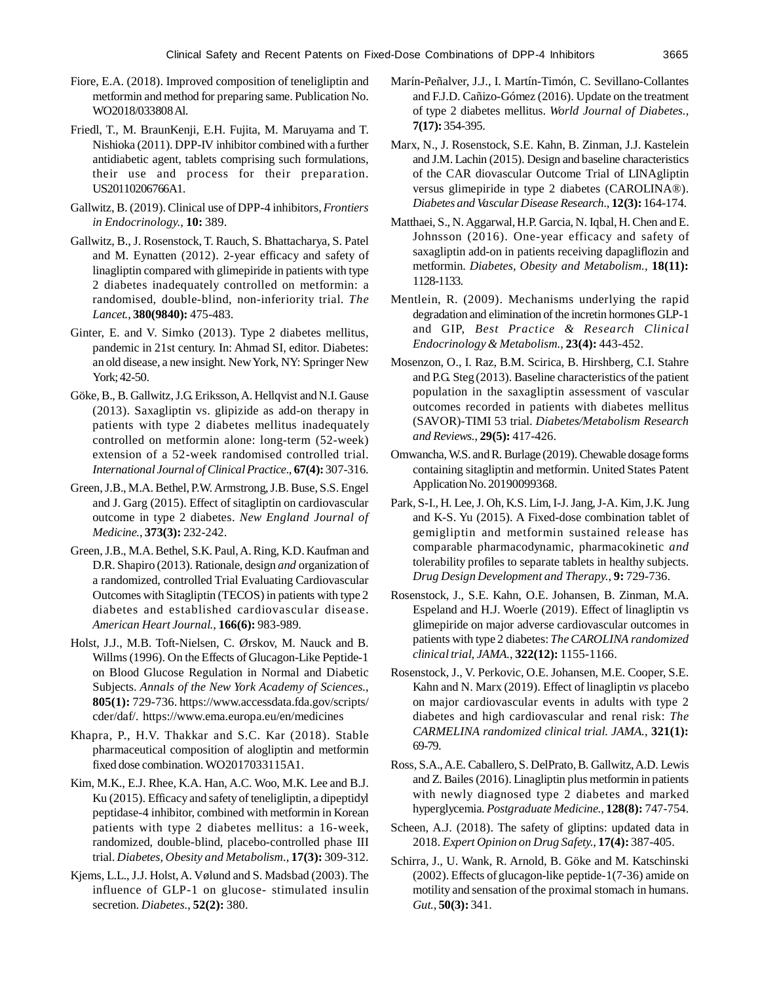- Fiore, E.A. (2018). Improved composition of teneligliptin and metformin and method for preparing same. Publication No. WO2018/033808 Al.
- Friedl, T., M. BraunKenji, E.H. Fujita, M. Maruyama and T. Nishioka (2011). DPP-IV inhibitor combined with a further antidiabetic agent, tablets comprising such formulations, their use and process for their preparation. US20110206766A1.
- Gallwitz, B. (2019). Clinical use of DPP-4 inhibitors, *Frontiers in Endocrinology.*, **10:** 389.
- Gallwitz, B., J. Rosenstock, T. Rauch, S. Bhattacharya, S. Patel and M. Eynatten (2012). 2-year efficacy and safety of linagliptin compared with glimepiride in patients with type 2 diabetes inadequately controlled on metformin: a randomised, double-blind, non-inferiority trial. *The Lancet.*, **380(9840):** 475-483.
- Ginter, E. and V. Simko (2013). Type 2 diabetes mellitus, pandemic in 21st century. In: Ahmad SI, editor. Diabetes: an old disease, a new insight. NewYork, NY: Springer New York; 42-50.
- Göke, B., B. Gallwitz, J.G. Eriksson, A. Hellqvist and N.I. Gause (2013). Saxagliptin vs. glipizide as add-on therapy in patients with type 2 diabetes mellitus inadequately controlled on metformin alone: long-term (52-week) extension of a 52-week randomised controlled trial. *International Journal of Clinical Practice.*, **67(4):** 307-316.
- Green,J.B., M.A. Bethel, P.W. Armstrong, J.B. Buse, S.S. Engel and J. Garg (2015). Effect of sitagliptin on cardiovascular outcome in type 2 diabetes. *New England Journal of Medicine.*, **373(3):** 232-242.
- Green, J.B., M.A. Bethel, S.K. Paul, A. Ring, K.D. Kaufman and D.R. Shapiro (2013). Rationale, design *and* organization of a randomized, controlled Trial Evaluating Cardiovascular Outcomes with Sitagliptin (TECOS) in patients with type 2 diabetes and established cardiovascular disease. *American Heart Journal.*, **166(6):** 983-989.
- Holst, J.J., M.B. Toft-Nielsen, C. Ørskov, M. Nauck and B. Willms (1996). On the Effects of Glucagon-Like Peptide-1 on Blood Glucose Regulation in Normal and Diabetic Subjects. *Annals of the New York Academy of Sciences.*, **805(1):** 729-736. https://www.accessdata.fda.gov/scripts/ cder/daf/. https://www.ema.europa.eu/en/medicines
- Khapra, P., H.V. Thakkar and S.C. Kar (2018). Stable pharmaceutical composition of alogliptin and metformin fixed dose combination. WO2017033115A1.
- Kim, M.K., E.J. Rhee, K.A. Han, A.C. Woo, M.K. Lee and B.J. Ku (2015). Efficacy and safety of teneligliptin, a dipeptidyl peptidase-4 inhibitor, combined with metformin in Korean patients with type 2 diabetes mellitus: a 16-week, randomized, double-blind, placebo-controlled phase III trial. *Diabetes, Obesity and Metabolism.*, **17(3):** 309-312.
- Kjems, L.L., J.J. Holst, A. Vølund and S. Madsbad (2003). The influence of GLP-1 on glucose- stimulated insulin secretion. *Diabetes.*, **52(2):** 380.
- Marín-Peñalver, J.J., I. Martín-Timón, C. Sevillano-Collantes and F.J.D. Cañizo-Gómez (2016). Update on the treatment of type 2 diabetes mellitus. *World Journal of Diabetes.*, **7(17):** 354-395.
- Marx, N., J. Rosenstock, S.E. Kahn, B. Zinman, J.J. Kastelein and J.M. Lachin (2015). Design and baseline characteristics of the CAR diovascular Outcome Trial of LINAgliptin versus glimepiride in type 2 diabetes (CAROLINA®). *Diabetes and Vascular Disease Research.*, **12(3):** 164-174.
- Matthaei, S., N. Aggarwal, H.P. Garcia, N. Iqbal, H. Chen and E. Johnsson (2016). One-year efficacy and safety of saxagliptin add-on in patients receiving dapagliflozin and metformin. *Diabetes, Obesity and Metabolism.,* **18(11):** 1128-1133.
- Mentlein, R. (2009). Mechanisms underlying the rapid degradation and elimination of the incretin hormones GLP-1 and GIP, *Best Practice & Research Clinical Endocrinology & Metabolism.*, **23(4):** 443-452.
- Mosenzon, O., I. Raz, B.M. Scirica, B. Hirshberg, C.I. Stahre and P.G. Steg (2013). Baseline characteristics of the patient population in the saxagliptin assessment of vascular outcomes recorded in patients with diabetes mellitus (SAVOR)-TIMI 53 trial. *Diabetes/Metabolism Research and Reviews.*, **29(5):** 417-426.
- Omwancha, W.S. and R. Burlage (2019). Chewable dosage forms containing sitagliptin and metformin. United States Patent Application No. 20190099368.
- Park, S-I., H. Lee, J. Oh, K.S. Lim, I-J. Jang, J-A. Kim, J.K. Jung and K-S. Yu (2015). A Fixed-dose combination tablet of gemigliptin and metformin sustained release has comparable pharmacodynamic, pharmacokinetic *and* tolerability profiles to separate tablets in healthy subjects. *Drug Design Development and Therapy.*, **9:** 729-736.
- Rosenstock, J., S.E. Kahn, O.E. Johansen, B. Zinman, M.A. Espeland and H.J. Woerle (2019). Effect of linagliptin vs glimepiride on major adverse cardiovascular outcomes in patients with type 2 diabetes: *The CAROLINA randomized clinical trial, JAMA.*, **322(12):** 1155-1166.
- Rosenstock, J., V. Perkovic, O.E. Johansen, M.E. Cooper, S.E. Kahn and N. Marx (2019). Effect of linagliptin *vs* placebo on major cardiovascular events in adults with type 2 diabetes and high cardiovascular and renal risk: *The CARMELINA randomized clinical trial. JAMA.*, **321(1):** 69-79.
- Ross, S.A., A.E. Caballero, S. DelPrato, B. Gallwitz, A.D. Lewis and Z. Bailes (2016). Linagliptin plus metformin in patients with newly diagnosed type 2 diabetes and marked hyperglycemia. *Postgraduate Medicine.*, **128(8):** 747-754.
- Scheen, A.J. (2018). The safety of gliptins: updated data in 2018. *Expert Opinion on Drug Safety.*, **17(4):** 387-405.
- Schirra, J., U. Wank, R. Arnold, B. Göke and M. Katschinski (2002). Effects of glucagon-like peptide-1(7-36) amide on motility and sensation of the proximal stomach in humans. *Gut.*, **50(3):** 341.